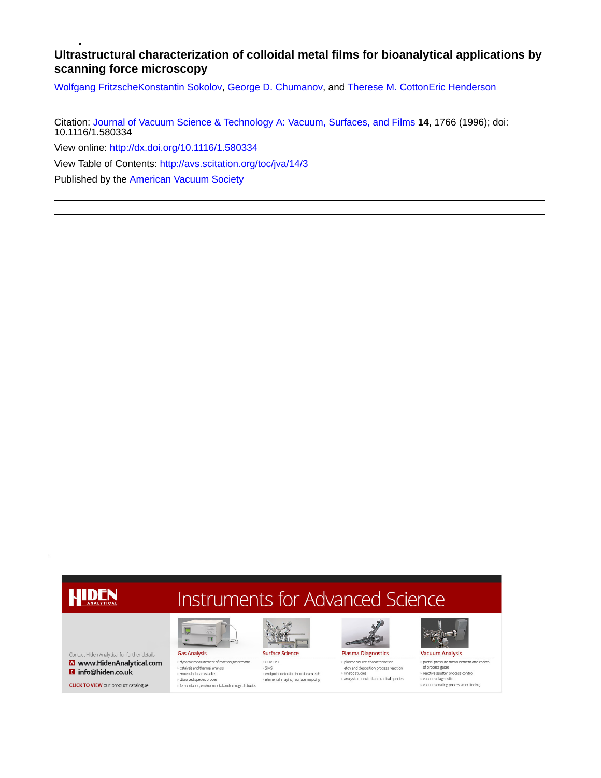### **Ultrastructural characterization of colloidal metal films for bioanalytical applications by scanning force microscopy**

[Wolfgang Fritzsche](http://avs.scitation.org/author/Fritzsche%2C+Wolfgang)[Konstantin Sokolov](http://avs.scitation.org/author/Sokolov%2C+Konstantin), [George D. Chumanov](http://avs.scitation.org/author/Chumanov%2C+George+D), and [Therese M. Cotton](http://avs.scitation.org/author/Cotton%2C+Therese+M)[Eric Henderson](http://avs.scitation.org/author/Henderson%2C+Eric)

Citation: [Journal of Vacuum Science & Technology A: Vacuum, Surfaces, and Films](/loi/jva) **14**, 1766 (1996); doi: 10.1116/1.580334 View online: <http://dx.doi.org/10.1116/1.580334> View Table of Contents: <http://avs.scitation.org/toc/jva/14/3> Published by the [American Vacuum Society](http://avs.scitation.org/publisher/)

## HIDEN

Contact Hiden Analytical for further details: W www.HidenAnalytical.com **B** info@hiden.co.uk

**CLICK TO VIEW** our product catalogue

# Instruments for Advanced Science

**Gas Analysis** dynamic measurement of reaction gas streams catalysis and thermal analysis > molecular beam studies<br>+ dissolved species probes

fermentation, environmental and ecological studies

m

圖

 $\blacksquare$ 



> UHV TPD  $\rightarrow$  SIMS end point detection in ion beam etch  $\rightarrow$  elemental imaging - surface mapping



plasma source characterization etch and deposition process reaction kinetic studies analysis of neutral and radical species



> vacuum diagnostics<br>> vacuum diagnostics<br>> vacuum coating process monitoring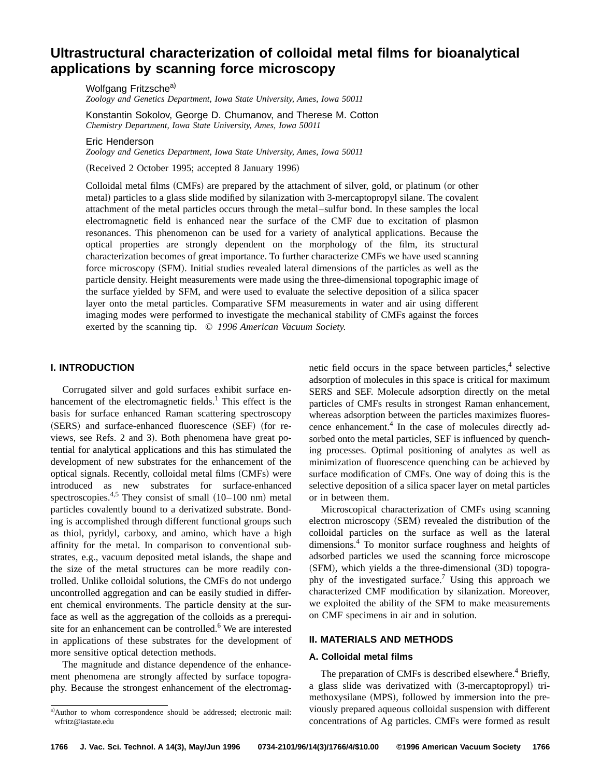## **Ultrastructural characterization of colloidal metal films for bioanalytical applications by scanning force microscopy**

Wolfgang Fritzsche<sup>a)</sup> *Zoology and Genetics Department, Iowa State University, Ames, Iowa 50011*

Konstantin Sokolov, George D. Chumanov, and Therese M. Cotton *Chemistry Department, Iowa State University, Ames, Iowa 50011*

Eric Henderson

*Zoology and Genetics Department, Iowa State University, Ames, Iowa 50011*

(Received 2 October 1995; accepted 8 January 1996)

Colloidal metal films (CMFs) are prepared by the attachment of silver, gold, or platinum (or other metal) particles to a glass slide modified by silanization with 3-mercaptopropyl silane. The covalent attachment of the metal particles occurs through the metal–sulfur bond. In these samples the local electromagnetic field is enhanced near the surface of the CMF due to excitation of plasmon resonances. This phenomenon can be used for a variety of analytical applications. Because the optical properties are strongly dependent on the morphology of the film, its structural characterization becomes of great importance. To further characterize CMFs we have used scanning force microscopy (SFM). Initial studies revealed lateral dimensions of the particles as well as the particle density. Height measurements were made using the three-dimensional topographic image of the surface yielded by SFM, and were used to evaluate the selective deposition of a silica spacer layer onto the metal particles. Comparative SFM measurements in water and air using different imaging modes were performed to investigate the mechanical stability of CMFs against the forces exerted by the scanning tip. © *1996 American Vacuum Society.*

#### **I. INTRODUCTION**

Corrugated silver and gold surfaces exhibit surface enhancement of the electromagnetic fields.<sup>1</sup> This effect is the basis for surface enhanced Raman scattering spectroscopy (SERS) and surface-enhanced fluorescence (SEF) (for reviews, see Refs. 2 and 3). Both phenomena have great potential for analytical applications and this has stimulated the development of new substrates for the enhancement of the optical signals. Recently, colloidal metal films (CMFs) were introduced as new substrates for surface-enhanced spectroscopies. $4,5$  They consist of small  $(10-100 \text{ nm})$  metal particles covalently bound to a derivatized substrate. Bonding is accomplished through different functional groups such as thiol, pyridyl, carboxy, and amino, which have a high affinity for the metal. In comparison to conventional substrates, e.g., vacuum deposited metal islands, the shape and the size of the metal structures can be more readily controlled. Unlike colloidal solutions, the CMFs do not undergo uncontrolled aggregation and can be easily studied in different chemical environments. The particle density at the surface as well as the aggregation of the colloids as a prerequisite for an enhancement can be controlled.<sup>6</sup> We are interested in applications of these substrates for the development of more sensitive optical detection methods.

The magnitude and distance dependence of the enhancement phenomena are strongly affected by surface topography. Because the strongest enhancement of the electromagnetic field occurs in the space between particles, $4$  selective adsorption of molecules in this space is critical for maximum SERS and SEF. Molecule adsorption directly on the metal particles of CMFs results in strongest Raman enhancement, whereas adsorption between the particles maximizes fluorescence enhancement.<sup>4</sup> In the case of molecules directly adsorbed onto the metal particles, SEF is influenced by quenching processes. Optimal positioning of analytes as well as minimization of fluorescence quenching can be achieved by surface modification of CMFs. One way of doing this is the selective deposition of a silica spacer layer on metal particles or in between them.

Microscopical characterization of CMFs using scanning electron microscopy (SEM) revealed the distribution of the colloidal particles on the surface as well as the lateral dimensions.4 To monitor surface roughness and heights of adsorbed particles we used the scanning force microscope  $(SFM)$ , which yields a the three-dimensional  $(3D)$  topography of the investigated surface.<sup>7</sup> Using this approach we characterized CMF modification by silanization. Moreover, we exploited the ability of the SFM to make measurements on CMF specimens in air and in solution.

#### **II. MATERIALS AND METHODS**

#### **A. Colloidal metal films**

The preparation of CMFs is described elsewhere.<sup>4</sup> Briefly, a glass slide was derivatized with (3-mercaptopropyl) trimethoxysilane (MPS), followed by immersion into the previously prepared aqueous colloidal suspension with different concentrations of Ag particles. CMFs were formed as result

a)Author to whom correspondence should be addressed; electronic mail: wfritz@iastate.edu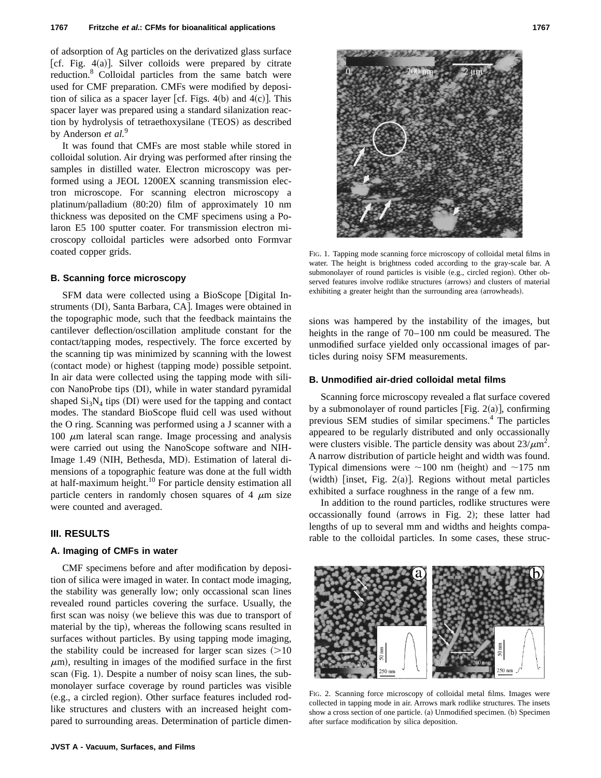of adsorption of Ag particles on the derivatized glass surface [cf. Fig.  $4(a)$ ]. Silver colloids were prepared by citrate reduction.<sup>8</sup> Colloidal particles from the same batch were used for CMF preparation. CMFs were modified by deposition of silica as a spacer layer [cf. Figs. 4(b) and  $4(c)$ ]. This spacer layer was prepared using a standard silanization reaction by hydrolysis of tetraethoxysilane (TEOS) as described by Anderson *et al.*<sup>9</sup>

It was found that CMFs are most stable while stored in colloidal solution. Air drying was performed after rinsing the samples in distilled water. Electron microscopy was performed using a JEOL 1200EX scanning transmission electron microscope. For scanning electron microscopy a platinum/palladium  $(80:20)$  film of approximately 10 nm thickness was deposited on the CMF specimens using a Polaron E5 100 sputter coater. For transmission electron microscopy colloidal particles were adsorbed onto Formvar coated copper grids.

#### **B. Scanning force microscopy**

SFM data were collected using a BioScope Digital Instruments (DI), Santa Barbara, CA]. Images were obtained in the topographic mode, such that the feedback maintains the cantilever deflection/oscillation amplitude constant for the contact/tapping modes, respectively. The force excerted by the scanning tip was minimized by scanning with the lowest (contact mode) or highest (tapping mode) possible setpoint. In air data were collected using the tapping mode with silicon NanoProbe tips (DI), while in water standard pyramidal shaped  $Si_3N_4$  tips (DI) were used for the tapping and contact modes. The standard BioScope fluid cell was used without the O ring. Scanning was performed using a J scanner with a 100  $\mu$ m lateral scan range. Image processing and analysis were carried out using the NanoScope software and NIH-Image 1.49 (NIH, Bethesda, MD). Estimation of lateral dimensions of a topographic feature was done at the full width at half-maximum height.<sup>10</sup> For particle density estimation all particle centers in randomly chosen squares of  $4 \mu m$  size were counted and averaged.

#### **III. RESULTS**

#### **A. Imaging of CMFs in water**

CMF specimens before and after modification by deposition of silica were imaged in water. In contact mode imaging, the stability was generally low; only occassional scan lines revealed round particles covering the surface. Usually, the first scan was noisy (we believe this was due to transport of material by the tip), whereas the following scans resulted in surfaces without particles. By using tapping mode imaging, the stability could be increased for larger scan sizes  $(>=10$  $\mu$ m), resulting in images of the modified surface in the first scan (Fig. 1). Despite a number of noisy scan lines, the submonolayer surface coverage by round particles was visible (e.g., a circled region). Other surface features included rodlike structures and clusters with an increased height compared to surrounding areas. Determination of particle dimen-



FIG. 1. Tapping mode scanning force microscopy of colloidal metal films in water. The height is brightness coded according to the gray-scale bar. A submonolayer of round particles is visible (e.g., circled region). Other observed features involve rodlike structures (arrows) and clusters of material exhibiting a greater height than the surrounding area (arrowheads).

sions was hampered by the instability of the images, but heights in the range of 70–100 nm could be measured. The unmodified surface yielded only occassional images of particles during noisy SFM measurements.

#### **B. Unmodified air-dried colloidal metal films**

Scanning force microscopy revealed a flat surface covered by a submonolayer of round particles [Fig. 2(a)], confirming previous SEM studies of similar specimens.<sup>4</sup> The particles appeared to be regularly distributed and only occassionally were clusters visible. The particle density was about  $23/\mu m^2$ . A narrow distribution of particle height and width was found. Typical dimensions were  $\sim$ 100 nm (height) and  $\sim$ 175 nm (width) [inset, Fig. 2(a)]. Regions without metal particles exhibited a surface roughness in the range of a few nm.

In addition to the round particles, rodlike structures were occassionally found (arrows in Fig. 2); these latter had lengths of up to several mm and widths and heights comparable to the colloidal particles. In some cases, these struc-



FIG. 2. Scanning force microscopy of colloidal metal films. Images were collected in tapping mode in air. Arrows mark rodlike structures. The insets show a cross section of one particle. (a) Unmodified specimen. (b) Specimen after surface modification by silica deposition.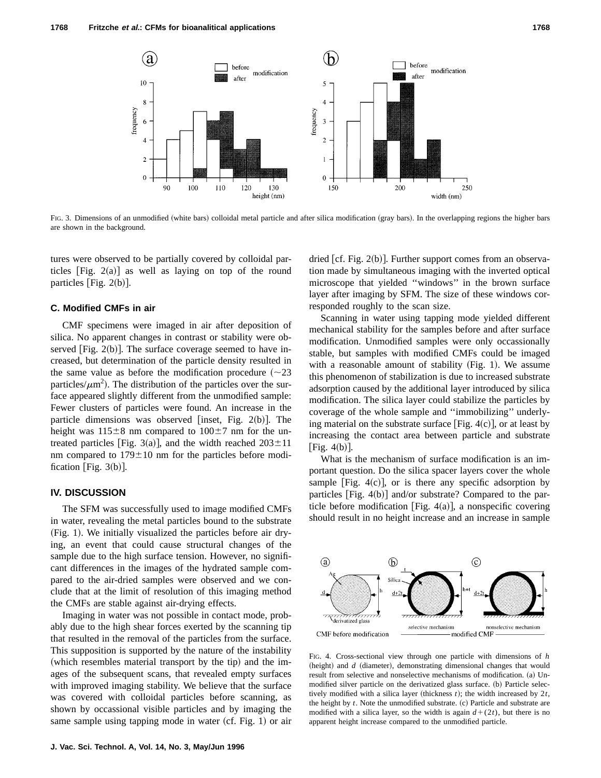

FIG. 3. Dimensions of an unmodified (white bars) colloidal metal particle and after silica modification (gray bars). In the overlapping regions the higher bars are shown in the background.

tures were observed to be partially covered by colloidal particles  $[Fig. 2(a)]$  as well as laying on top of the round particles [Fig.  $2(b)$ ].

#### **C. Modified CMFs in air**

CMF specimens were imaged in air after deposition of silica. No apparent changes in contrast or stability were observed [Fig.  $2(b)$ ]. The surface coverage seemed to have increased, but determination of the particle density resulted in the same value as before the modification procedure  $(\sim 23)$ particles/ $\mu$ m<sup>2</sup>). The distribution of the particles over the surface appeared slightly different from the unmodified sample: Fewer clusters of particles were found. An increase in the particle dimensions was observed [inset, Fig.  $2(b)$ ]. The height was  $115\pm8$  nm compared to  $100\pm7$  nm for the untreated particles [Fig. 3(a)], and the width reached  $203\pm11$ nm compared to  $179 \pm 10$  nm for the particles before modification [Fig.  $3(b)$ ].

#### **IV. DISCUSSION**

The SFM was successfully used to image modified CMFs in water, revealing the metal particles bound to the substrate  $(Fig. 1)$ . We initially visualized the particles before air drying, an event that could cause structural changes of the sample due to the high surface tension. However, no significant differences in the images of the hydrated sample compared to the air-dried samples were observed and we conclude that at the limit of resolution of this imaging method the CMFs are stable against air-drying effects.

Imaging in water was not possible in contact mode, probably due to the high shear forces exerted by the scanning tip that resulted in the removal of the particles from the surface. This supposition is supported by the nature of the instability (which resembles material transport by the tip) and the images of the subsequent scans, that revealed empty surfaces with improved imaging stability. We believe that the surface was covered with colloidal particles before scanning, as shown by occassional visible particles and by imaging the same sample using tapping mode in water  $(cf. Fig. 1)$  or air

 $|$  Fig. 4(b) |. What is the mechanism of surface modification is an important question. Do the silica spacer layers cover the whole sample [Fig.  $4(c)$ ], or is there any specific adsorption by

responded roughly to the scan size.

particles  $[Fig. 4(b)]$  and/or substrate? Compared to the particle before modification [Fig. 4(a)], a nonspecific covering should result in no height increase and an increase in sample

dried [cf. Fig.  $2(b)$ ]. Further support comes from an observation made by simultaneous imaging with the inverted optical microscope that yielded ''windows'' in the brown surface layer after imaging by SFM. The size of these windows cor-

Scanning in water using tapping mode yielded different mechanical stability for the samples before and after surface modification. Unmodified samples were only occassionally stable, but samples with modified CMFs could be imaged with a reasonable amount of stability  $(Fig. 1)$ . We assume this phenomenon of stabilization is due to increased substrate adsorption caused by the additional layer introduced by silica modification. The silica layer could stabilize the particles by coverage of the whole sample and ''immobilizing'' underlying material on the substrate surface  $|Fig. 4(c)|$ , or at least by increasing the contact area between particle and substrate



FIG. 4. Cross-sectional view through one particle with dimensions of *h* (height) and *d* (diameter), demonstrating dimensional changes that would result from selective and nonselective mechanisms of modification. (a) Unmodified silver particle on the derivatized glass surface. (b) Particle selectively modified with a silica layer (thickness  $t$ ); the width increased by  $2t$ , the height by  $t$ . Note the unmodified substrate.  $(c)$  Particle and substrate are modified with a silica layer, so the width is again  $d+(2t)$ , but there is no apparent height increase compared to the unmodified particle.